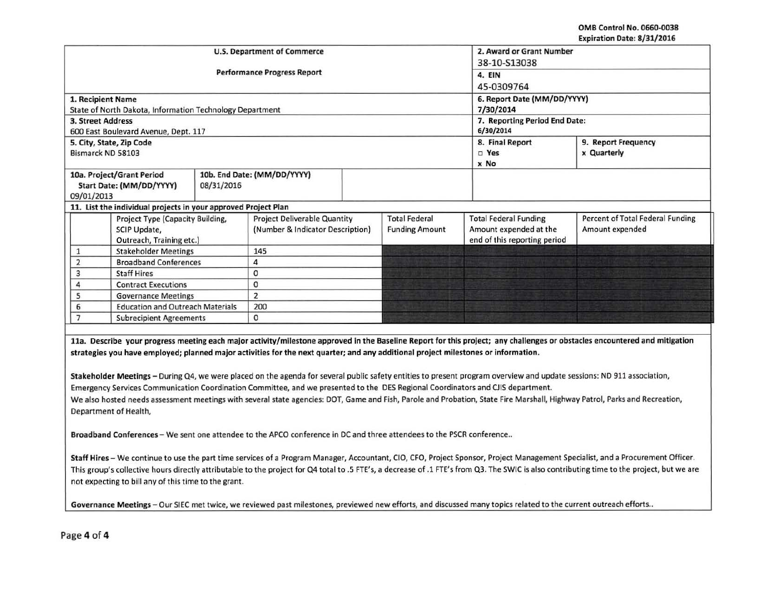OMB Control No. 0660-0038 Expiration Date: 8/31/2016

|                                                                                                                                                                            |                                                                |                                    | <b>U.S. Department of Commerce</b> | 2. Award or Grant Number            |                       |                              |                                  |  |
|----------------------------------------------------------------------------------------------------------------------------------------------------------------------------|----------------------------------------------------------------|------------------------------------|------------------------------------|-------------------------------------|-----------------------|------------------------------|----------------------------------|--|
|                                                                                                                                                                            |                                                                |                                    | 38-10-S13038                       |                                     |                       |                              |                                  |  |
|                                                                                                                                                                            |                                                                | <b>Performance Progress Report</b> | 4. EIN                             |                                     |                       |                              |                                  |  |
|                                                                                                                                                                            |                                                                |                                    | 45-0309764                         |                                     |                       |                              |                                  |  |
|                                                                                                                                                                            | 1. Recipient Name                                              |                                    | 6. Report Date (MM/DD/YYYY)        |                                     |                       |                              |                                  |  |
|                                                                                                                                                                            | State of North Dakota, Information Technology Department       |                                    | 7/30/2014                          |                                     |                       |                              |                                  |  |
| <b>3. Street Address</b>                                                                                                                                                   |                                                                |                                    | 7. Reporting Period End Date:      |                                     |                       |                              |                                  |  |
|                                                                                                                                                                            | 600 East Boulevard Avenue, Dept. 117                           |                                    | 6/30/2014                          |                                     |                       |                              |                                  |  |
|                                                                                                                                                                            | 5. City, State, Zip Code                                       |                                    |                                    |                                     |                       | 8. Final Report              | 9. Report Frequency              |  |
|                                                                                                                                                                            | Bismarck ND 58103                                              |                                    |                                    |                                     | $\square$ Yes         | x Quarterly                  |                                  |  |
|                                                                                                                                                                            |                                                                |                                    |                                    |                                     |                       | x No                         |                                  |  |
| 10a. Project/Grant Period                                                                                                                                                  |                                                                |                                    | 10b. End Date: (MM/DD/YYYY)        |                                     |                       |                              |                                  |  |
| Start Date: (MM/DD/YYYY)<br>08/31/2016                                                                                                                                     |                                                                |                                    |                                    |                                     |                       |                              |                                  |  |
| 09/01/2013                                                                                                                                                                 |                                                                |                                    |                                    |                                     |                       |                              |                                  |  |
|                                                                                                                                                                            | 11. List the individual projects in your approved Project Plan |                                    |                                    |                                     |                       |                              |                                  |  |
|                                                                                                                                                                            |                                                                | Project Type (Capacity Building,   |                                    | <b>Project Deliverable Quantity</b> |                       | <b>Total Federal Funding</b> | Percent of Total Federal Funding |  |
|                                                                                                                                                                            | SCIP Update,                                                   |                                    | (Number & Indicator Description)   |                                     | <b>Funding Amount</b> | Amount expended at the       | Amount expended                  |  |
|                                                                                                                                                                            | Outreach, Training etc.)                                       |                                    |                                    |                                     |                       | end of this reporting period |                                  |  |
| 1                                                                                                                                                                          | <b>Stakeholder Meetings</b>                                    |                                    | 145                                |                                     |                       |                              |                                  |  |
| $\overline{2}$                                                                                                                                                             | <b>Broadband Conferences</b>                                   |                                    | 4                                  |                                     |                       |                              |                                  |  |
| 3                                                                                                                                                                          | <b>Staff Hires</b>                                             |                                    | 0                                  |                                     |                       |                              |                                  |  |
| 4                                                                                                                                                                          | <b>Contract Executions</b>                                     |                                    | 0                                  |                                     |                       |                              |                                  |  |
| 5                                                                                                                                                                          | <b>Governance Meetings</b>                                     |                                    | $\overline{2}$                     |                                     |                       |                              |                                  |  |
| 6                                                                                                                                                                          | <b>Education and Outreach Materials</b>                        |                                    | 200                                |                                     |                       |                              |                                  |  |
| $\overline{7}$                                                                                                                                                             | <b>Subrecipient Agreements</b>                                 |                                    | 0                                  |                                     |                       |                              |                                  |  |
|                                                                                                                                                                            |                                                                |                                    |                                    |                                     |                       |                              |                                  |  |
| 11a. Describe your progress meeting each major activity/milestone approved in the Baseline Report for this project; any challenges or obstacles encountered and mitigation |                                                                |                                    |                                    |                                     |                       |                              |                                  |  |
| strategies you have employed; planned major activities for the next quarter; and any additional project milestones or information.                                         |                                                                |                                    |                                    |                                     |                       |                              |                                  |  |
|                                                                                                                                                                            |                                                                |                                    |                                    |                                     |                       |                              |                                  |  |
|                                                                                                                                                                            |                                                                |                                    |                                    |                                     |                       |                              |                                  |  |

Stakeholder Meetings- During Q4, we were placed on the agenda for several public safety entities to present program overview and update sessions: ND 911 association, Emergency Services Communication Coordination Committee, and we presented to the DES Regional Coordinators and CJIS department. We also hosted needs assessment meetings with several state agencies: DOT, Game and Fish, Parole and Probation, State Fire Marshall, Highway Patrol, Parks and Recreation, Department of Health,

Broadband Conferences - We sent one attendee to the APCO conference in DC and three attendees to the PSCR conference..

Staff Hires- We continue to use the part time services of a Program Manager, Accountant, CIO, CFO, Project Sponsor, Project Management Specialist, and a Procurement Officer. This group's collective hours directly attributable to the project for Q4 total to .5 FTE's, a decrease of .1 FTE's from Q3. The SWIC is also contributing time to the project, but we are not expecting to bill any of this time to the grant.

Governance Meetings - Our SIEC met twice, we reviewed past milestones, previewed new efforts, and discussed many topics related to the current outreach efforts..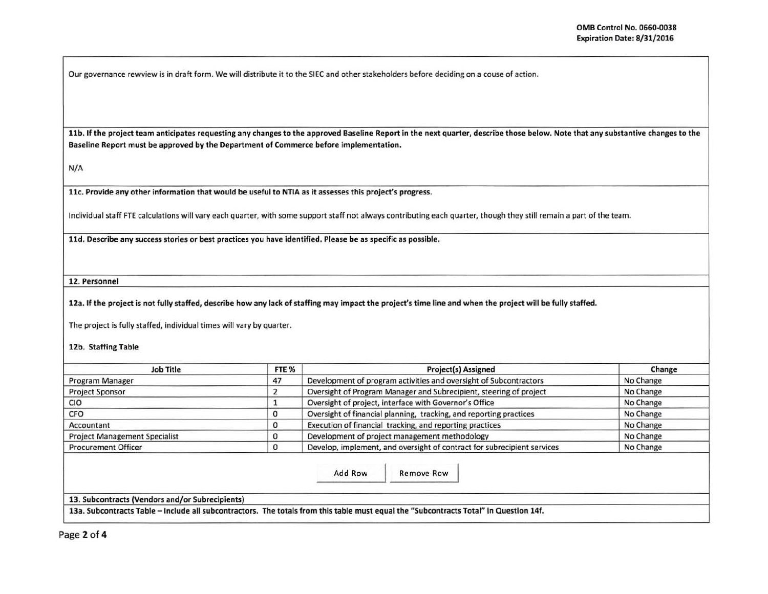Our governance rewview is in draft form. We will distribute it to the SIEC and other stakeholders before deciding on a couse of action.

11b. If the project team anticipates requesting any changes to the approved Baseline Report in the next quarter, describe those below. Note that any substantive changes to the Baseline Report must be approved by the Department of Commerce before implementation.

N/A

llc. Provide any other information that would be useful to NTIA as it assesses this project's progress.

Individual staff FTE calculations will vary each quarter, with some support staff not always contributing each quarter, though they still remain a part of the team.

lld. Describe any success stories or best practices you have identified. Please be as specific as possible.

<sup>~</sup>------ -- ----------------- ------·-···-

12. Personnel

12a. If the project is not fully staffed, describe how any lack of staffing may impact the project's time line and when the project will be fully staffed.

The project is fully staffed, individual times will vary by quarter.

12b. Staffing Table

| FTE % | <b>Project(s) Assigned</b>                                              | Change                                                                                                                                |
|-------|-------------------------------------------------------------------------|---------------------------------------------------------------------------------------------------------------------------------------|
| 47    | Development of program activities and oversight of Subcontractors       | No Change                                                                                                                             |
|       | Oversight of Program Manager and Subrecipient, steering of project      | No Change                                                                                                                             |
|       | Oversight of project, interface with Governor's Office                  | No Change                                                                                                                             |
|       | Oversight of financial planning, tracking, and reporting practices      | No Change                                                                                                                             |
|       | Execution of financial tracking, and reporting practices                | No Change                                                                                                                             |
|       | Development of project management methodology                           | No Change                                                                                                                             |
|       | Develop, implement, and oversight of contract for subrecipient services | No Change                                                                                                                             |
|       | Add Row<br>Remove Row                                                   |                                                                                                                                       |
|       |                                                                         |                                                                                                                                       |
|       | 13. Subcontracts (Vendors and/or Subrecipients)                         | 13a. Subcontracts Table – Include all subcontractors. The totals from this table must equal the "Subcontracts Total" in Question 14f. |